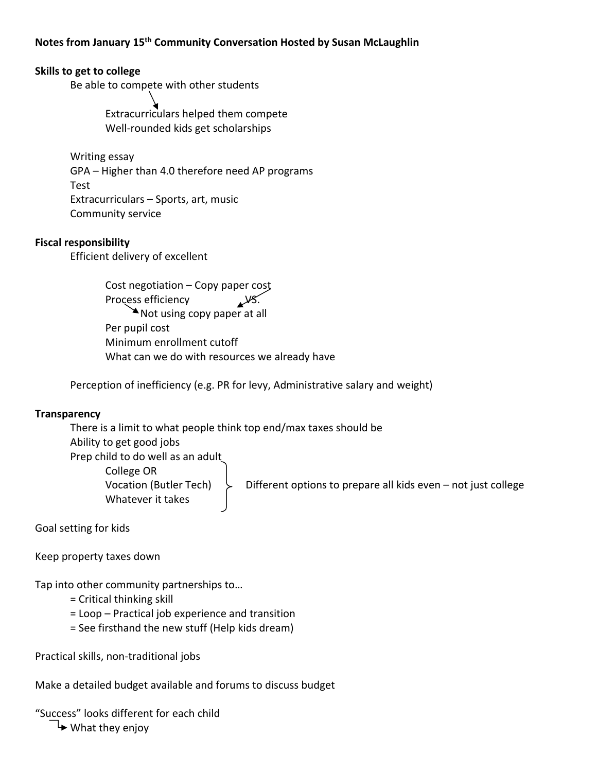## **Skills to get to college**

Be able to compete with other students

 Extracurriculars helped them compete Well‐rounded kids get scholarships

Writing essay GPA – Higher than 4.0 therefore need AP programs Test Extracurriculars – Sports, art, music Community service

## **Fiscal responsibility**

Efficient delivery of excellent

 Cost negotiation – Copy paper cost Process efficiency AVS. Not using copy paper at all Per pupil cost Minimum enrollment cutoff What can we do with resources we already have

Perception of inefficiency (e.g. PR for levy, Administrative salary and weight)

## **Transparency**

There is a limit to what people think top end/max taxes should be Ability to get good jobs Prep child to do well as an adult College OR Vocation (Butler Tech)  $\downarrow$  Different options to prepare all kids even – not just college Whatever it takes

Goal setting for kids

Keep property taxes down

Tap into other community partnerships to…

- = Critical thinking skill
- = Loop Practical job experience and transition
- = See firsthand the new stuff (Help kids dream)

Practical skills, non‐traditional jobs

Make a detailed budget available and forums to discuss budget

"Success" looks different for each child

 $\blacktriangleright$  What they enjoy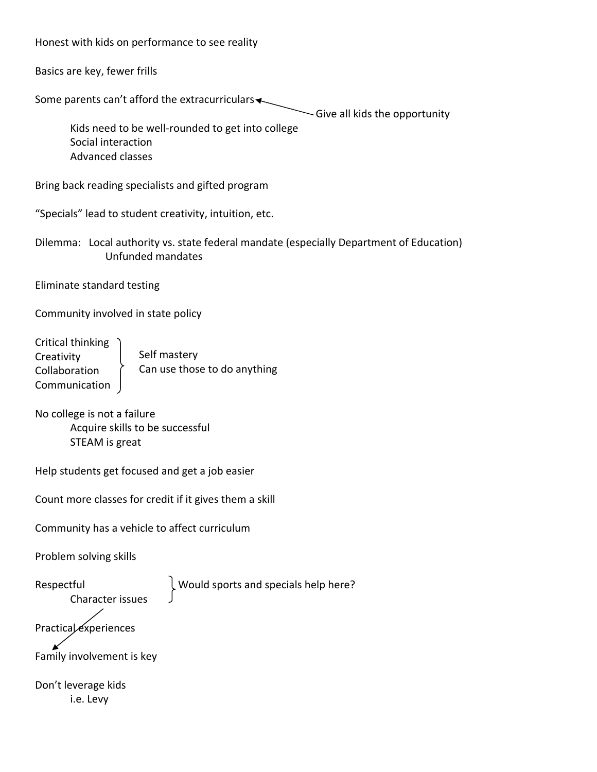Honest with kids on performance to see reality

Basics are key, fewer frills

Some parents can't afford the extracurriculars

 $\sim$  Give all kids the opportunity

Kids need to be well‐rounded to get into college Social interaction Advanced classes

Bring back reading specialists and gifted program

"Specials" lead to student creativity, intuition, etc.

Dilemma: Local authority vs. state federal mandate (especially Department of Education) Unfunded mandates

Eliminate standard testing

Community involved in state policy

Critical thinking **Creativity** Collaboration Communication Self mastery Can use those to do anything

No college is not a failure Acquire skills to be successful STEAM is great

Help students get focused and get a job easier

Count more classes for credit if it gives them a skill

Community has a vehicle to affect curriculum

Problem solving skills

Character issues

Respectful  $\downarrow$  Would sports and specials help here?

Practical experiences

Family involvement is key

Don't leverage kids i.e. Levy